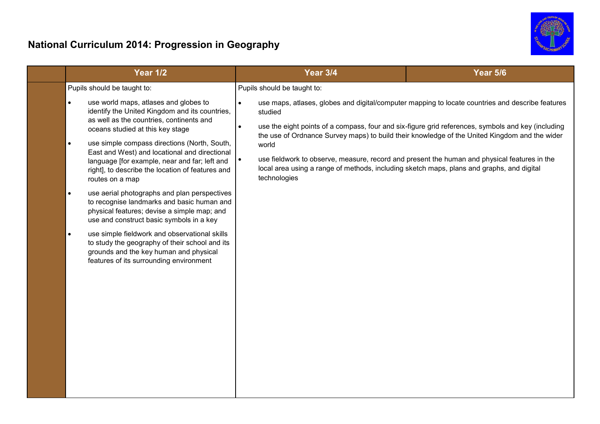

| Pupils should be taught to:<br>Pupils should be taught to:                                                                                                                                                                                                                                                                                                                                                                                                                                                                                                                                                                                                                                                                                                                                                                                                                                                                                                                                                                                                                                                                                                                                                                                                                                                                                                                                                  |  |
|-------------------------------------------------------------------------------------------------------------------------------------------------------------------------------------------------------------------------------------------------------------------------------------------------------------------------------------------------------------------------------------------------------------------------------------------------------------------------------------------------------------------------------------------------------------------------------------------------------------------------------------------------------------------------------------------------------------------------------------------------------------------------------------------------------------------------------------------------------------------------------------------------------------------------------------------------------------------------------------------------------------------------------------------------------------------------------------------------------------------------------------------------------------------------------------------------------------------------------------------------------------------------------------------------------------------------------------------------------------------------------------------------------------|--|
| use world maps, atlases and globes to<br>use maps, atlases, globes and digital/computer mapping to locate countries and describe features<br>$\bullet$<br>$\bullet$<br>identify the United Kingdom and its countries,<br>studied<br>as well as the countries, continents and<br>use the eight points of a compass, four and six-figure grid references, symbols and key (including<br>$\bullet$<br>oceans studied at this key stage<br>the use of Ordnance Survey maps) to build their knowledge of the United Kingdom and the wider<br>use simple compass directions (North, South,<br>$\bullet$<br>world<br>East and West) and locational and directional<br>use fieldwork to observe, measure, record and present the human and physical features in the<br>language [for example, near and far; left and<br>local area using a range of methods, including sketch maps, plans and graphs, and digital<br>right], to describe the location of features and<br>technologies<br>routes on a map<br>use aerial photographs and plan perspectives<br>$\bullet$<br>to recognise landmarks and basic human and<br>physical features; devise a simple map; and<br>use and construct basic symbols in a key<br>use simple fieldwork and observational skills<br>$\bullet$<br>to study the geography of their school and its<br>grounds and the key human and physical<br>features of its surrounding environment |  |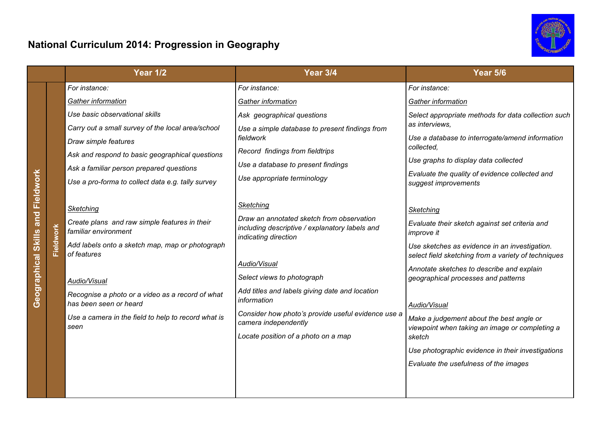

|                              |           | <b>Year 1/2</b>                                                            | <b>Year 3/4</b>                                                                                                     | <b>Year 5/6</b>                                                                                                                                         |  |
|------------------------------|-----------|----------------------------------------------------------------------------|---------------------------------------------------------------------------------------------------------------------|---------------------------------------------------------------------------------------------------------------------------------------------------------|--|
|                              |           | For instance:                                                              | For instance:                                                                                                       | For instance:                                                                                                                                           |  |
|                              |           | Gather information                                                         | Gather information                                                                                                  | Gather information                                                                                                                                      |  |
|                              |           | Use basic observational skills                                             | Ask geographical questions                                                                                          | Select appropriate methods for data collection such                                                                                                     |  |
|                              |           | Carry out a small survey of the local area/school                          | Use a simple database to present findings from                                                                      | as interviews,                                                                                                                                          |  |
|                              |           | Draw simple features                                                       | fieldwork                                                                                                           | Use a database to interrogate/amend information<br>collected,<br>Use graphs to display data collected<br>Evaluate the quality of evidence collected and |  |
|                              |           | Ask and respond to basic geographical questions                            | Record findings from fieldtrips<br>Use a database to present findings                                               |                                                                                                                                                         |  |
|                              |           | Ask a familiar person prepared questions                                   |                                                                                                                     |                                                                                                                                                         |  |
| Fieldwork                    |           | Use a pro-forma to collect data e.g. tally survey                          | Use appropriate terminology                                                                                         | suggest improvements                                                                                                                                    |  |
|                              |           |                                                                            |                                                                                                                     |                                                                                                                                                         |  |
| and  <br>Geographical Skills |           | Sketching                                                                  | Sketching                                                                                                           | Sketching                                                                                                                                               |  |
|                              | Fieldwork | Create plans and raw simple features in their<br>familiar environment      | Draw an annotated sketch from observation<br>including descriptive / explanatory labels and<br>indicating direction | Evaluate their sketch against set criteria and<br><i>improve it</i>                                                                                     |  |
|                              |           | Add labels onto a sketch map, map or photograph<br>of features             |                                                                                                                     | Use sketches as evidence in an investigation.<br>select field sketching from a variety of techniques                                                    |  |
|                              |           |                                                                            | Audio/Visual                                                                                                        | Annotate sketches to describe and explain                                                                                                               |  |
|                              |           | Audio/Visual                                                               | Select views to photograph<br>Add titles and labels giving date and location<br>information                         | geographical processes and patterns                                                                                                                     |  |
|                              |           | Recognise a photo or a video as a record of what<br>has been seen or heard |                                                                                                                     | Audio/Visual                                                                                                                                            |  |
|                              |           | Use a camera in the field to help to record what is<br>seen                | Consider how photo's provide useful evidence use a<br>camera independently                                          | Make a judgement about the best angle or<br>viewpoint when taking an image or completing a<br>sketch                                                    |  |
|                              |           |                                                                            | Locate position of a photo on a map                                                                                 |                                                                                                                                                         |  |
|                              |           |                                                                            |                                                                                                                     | Use photographic evidence in their investigations                                                                                                       |  |
|                              |           |                                                                            |                                                                                                                     | Evaluate the usefulness of the images                                                                                                                   |  |
|                              |           |                                                                            |                                                                                                                     |                                                                                                                                                         |  |
|                              |           |                                                                            |                                                                                                                     |                                                                                                                                                         |  |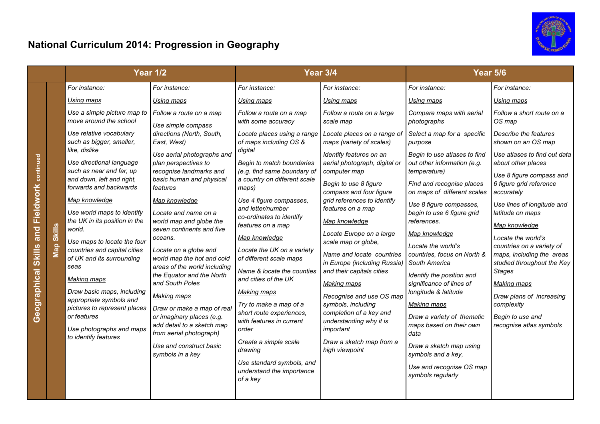

|                                                                                       |                                          | <b>Year 1/2</b>                                                                                                                                                                                                                                                                                                                                      |                                                                                                                                                                                                                                                                                                                                                                | <b>Year 3/4</b>                                                                                                                                                                                                                                                                                                                                |                                                                                                                                                                                                                                                                                                                                                                                                                                                                                           | <b>Year 5/6</b>                                                                                                                                                                                                                                                                                                             |                                                                                                                                                                                                                                                                                                                                                                                                                                          |
|---------------------------------------------------------------------------------------|------------------------------------------|------------------------------------------------------------------------------------------------------------------------------------------------------------------------------------------------------------------------------------------------------------------------------------------------------------------------------------------------------|----------------------------------------------------------------------------------------------------------------------------------------------------------------------------------------------------------------------------------------------------------------------------------------------------------------------------------------------------------------|------------------------------------------------------------------------------------------------------------------------------------------------------------------------------------------------------------------------------------------------------------------------------------------------------------------------------------------------|-------------------------------------------------------------------------------------------------------------------------------------------------------------------------------------------------------------------------------------------------------------------------------------------------------------------------------------------------------------------------------------------------------------------------------------------------------------------------------------------|-----------------------------------------------------------------------------------------------------------------------------------------------------------------------------------------------------------------------------------------------------------------------------------------------------------------------------|------------------------------------------------------------------------------------------------------------------------------------------------------------------------------------------------------------------------------------------------------------------------------------------------------------------------------------------------------------------------------------------------------------------------------------------|
|                                                                                       |                                          | For instance:                                                                                                                                                                                                                                                                                                                                        | For instance:                                                                                                                                                                                                                                                                                                                                                  | For instance:                                                                                                                                                                                                                                                                                                                                  | For instance:                                                                                                                                                                                                                                                                                                                                                                                                                                                                             | For instance:                                                                                                                                                                                                                                                                                                               | For instance:                                                                                                                                                                                                                                                                                                                                                                                                                            |
| continued<br>Fieldwork<br>$\overline{\mathsf{land}}$<br><b>Skills</b><br>Geographical |                                          | Using maps                                                                                                                                                                                                                                                                                                                                           | Using maps                                                                                                                                                                                                                                                                                                                                                     | Using maps                                                                                                                                                                                                                                                                                                                                     | Using maps                                                                                                                                                                                                                                                                                                                                                                                                                                                                                | Using maps                                                                                                                                                                                                                                                                                                                  | Using maps                                                                                                                                                                                                                                                                                                                                                                                                                               |
|                                                                                       |                                          | Use a simple picture map to<br>move around the school                                                                                                                                                                                                                                                                                                | Follow a route on a map<br>Use simple compass                                                                                                                                                                                                                                                                                                                  | Follow a route on a map<br>with some accuracy                                                                                                                                                                                                                                                                                                  | Follow a route on a large<br>scale map                                                                                                                                                                                                                                                                                                                                                                                                                                                    | Compare maps with aerial<br>photographs                                                                                                                                                                                                                                                                                     | Follow a short route on a<br>OS map                                                                                                                                                                                                                                                                                                                                                                                                      |
|                                                                                       |                                          | Use relative vocabulary<br>such as bigger, smaller,<br>like, dislike                                                                                                                                                                                                                                                                                 | directions (North, South,<br>East, West)<br>Use aerial photographs and<br>plan perspectives to<br>recognise landmarks and<br>basic human and physical<br>features                                                                                                                                                                                              | Locate places using a range<br>of maps including OS &<br>digital<br>Begin to match boundaries<br>(e.g. find same boundary of<br>a country on different scale<br>maps)                                                                                                                                                                          | Locate places on a range of<br>maps (variety of scales)                                                                                                                                                                                                                                                                                                                                                                                                                                   | Select a map for a specific<br>purpose                                                                                                                                                                                                                                                                                      | Describe the features<br>shown on an OS map                                                                                                                                                                                                                                                                                                                                                                                              |
|                                                                                       | <b>Skills</b><br>$\overline{\mathbf{z}}$ | Use directional language<br>such as near and far, up<br>and down, left and right,<br>forwards and backwards                                                                                                                                                                                                                                          |                                                                                                                                                                                                                                                                                                                                                                |                                                                                                                                                                                                                                                                                                                                                | Identify features on an<br>aerial photograph, digital or<br>computer map<br>Begin to use 8 figure<br>compass and four figure<br>grid references to identify<br>features on a map<br>Map knowledge<br>Locate Europe on a large<br>scale map or globe,<br>Name and locate countries<br>in Europe (including Russia)<br>and their capitals cities<br><b>Making maps</b><br>Recognise and use OS map<br>symbols, including<br>completion of a key and<br>understanding why it is<br>important | Begin to use atlases to find<br>out other information (e.g.<br><i>temperature)</i><br>Find and recognise places<br>on maps of different scales                                                                                                                                                                              | Use atlases to find out data<br>about other places<br>Use 8 figure compass and<br>6 figure grid reference<br>accurately<br>Use lines of longitude and<br>latitude on maps<br>Map knowledge<br>Locate the world's<br>countries on a variety of<br>maps, including the areas<br>studied throughout the Key<br><b>Stages</b><br><b>Making maps</b><br>Draw plans of increasing<br>complexity<br>Begin to use and<br>recognise atlas symbols |
|                                                                                       |                                          | Map knowledge<br>Use world maps to identify<br>the UK in its position in the<br>world.<br>Use maps to locate the four<br>countries and capital cities<br>of UK and its surrounding<br>seas<br><b>Making maps</b><br>Draw basic maps, including<br>appropriate symbols and<br>pictures to represent places<br>or features<br>Use photographs and maps | Map knowledge<br>Locate and name on a<br>world map and globe the<br>seven continents and five<br>oceans.<br>Locate on a globe and<br>world map the hot and cold<br>areas of the world including<br>the Equator and the North<br>and South Poles<br><b>Making maps</b><br>Draw or make a map of real<br>or imaginary places (e.g.<br>add detail to a sketch map | Use 4 figure compasses,<br>and letter/number<br>co-ordinates to identify<br>features on a map<br>Map knowledge<br>Locate the UK on a variety<br>of different scale maps<br>Name & locate the counties<br>and cities of the UK<br><b>Making maps</b><br>Try to make a map of a<br>short route experiences,<br>with features in current<br>order |                                                                                                                                                                                                                                                                                                                                                                                                                                                                                           | Use 8 figure compasses,<br>begin to use 6 figure grid<br>references.<br>Map knowledge<br>Locate the world's<br>countries, focus on North &<br>South America<br>Identify the position and<br>significance of lines of<br>longitude & latitude<br><b>Making maps</b><br>Draw a variety of thematic<br>maps based on their own |                                                                                                                                                                                                                                                                                                                                                                                                                                          |
|                                                                                       |                                          | to identify features                                                                                                                                                                                                                                                                                                                                 | from aerial photograph)<br>Use and construct basic<br>symbols in a key                                                                                                                                                                                                                                                                                         | Create a simple scale<br>drawing<br>Use standard symbols, and<br>understand the importance<br>of a key                                                                                                                                                                                                                                         | Draw a sketch map from a<br>high viewpoint                                                                                                                                                                                                                                                                                                                                                                                                                                                | data<br>Draw a sketch map using<br>symbols and a key,<br>Use and recognise OS map<br>symbols regularly                                                                                                                                                                                                                      |                                                                                                                                                                                                                                                                                                                                                                                                                                          |